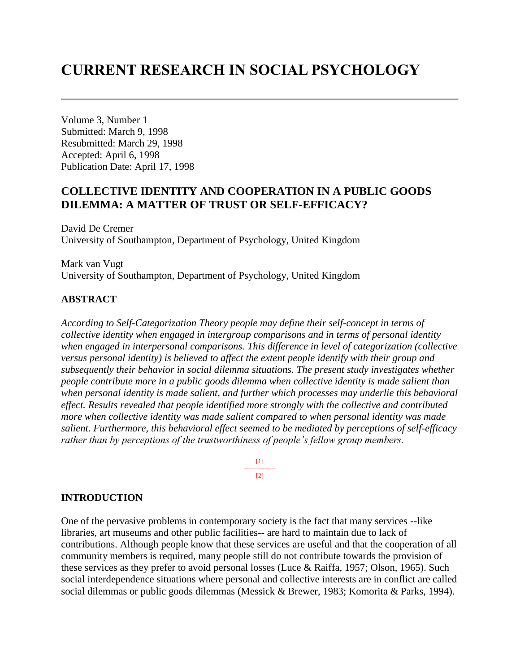# **CURRENT RESEARCH IN SOCIAL PSYCHOLOGY**

Volume 3, Number 1 Submitted: March 9, 1998 Resubmitted: March 29, 1998 Accepted: April 6, 1998 Publication Date: April 17, 1998

# **COLLECTIVE IDENTITY AND COOPERATION IN A PUBLIC GOODS DILEMMA: A MATTER OF TRUST OR SELF-EFFICACY?**

David De Cremer University of Southampton, Department of Psychology, United Kingdom

Mark van Vugt University of Southampton, Department of Psychology, United Kingdom

## **ABSTRACT**

*According to Self-Categorization Theory people may define their self-concept in terms of collective identity when engaged in intergroup comparisons and in terms of personal identity when engaged in interpersonal comparisons. This difference in level of categorization (collective versus personal identity) is believed to affect the extent people identify with their group and subsequently their behavior in social dilemma situations. The present study investigates whether people contribute more in a public goods dilemma when collective identity is made salient than when personal identity is made salient, and further which processes may underlie this behavioral effect. Results revealed that people identified more strongly with the collective and contributed more when collective identity was made salient compared to when personal identity was made salient. Furthermore, this behavioral effect seemed to be mediated by perceptions of self-efficacy rather than by perceptions of the trustworthiness of people's fellow group members.*



#### **INTRODUCTION**

One of the pervasive problems in contemporary society is the fact that many services --like libraries, art museums and other public facilities-- are hard to maintain due to lack of contributions. Although people know that these services are useful and that the cooperation of all community members is required, many people still do not contribute towards the provision of these services as they prefer to avoid personal losses (Luce & Raiffa, 1957; Olson, 1965). Such social interdependence situations where personal and collective interests are in conflict are called social dilemmas or public goods dilemmas (Messick & Brewer, 1983; Komorita & Parks, 1994).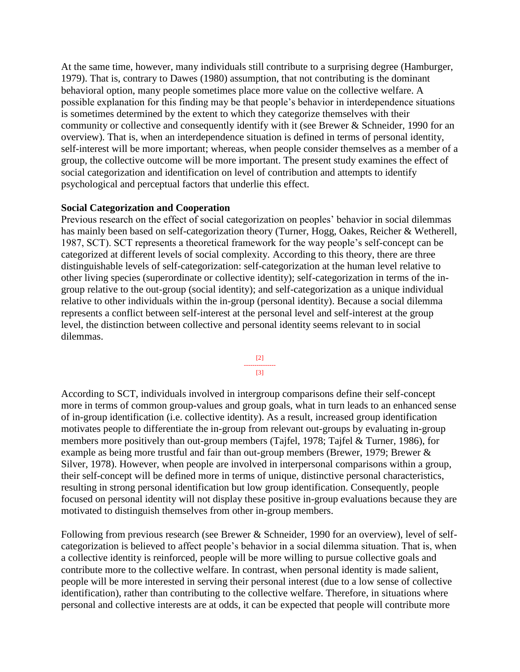At the same time, however, many individuals still contribute to a surprising degree (Hamburger, 1979). That is, contrary to Dawes (1980) assumption, that not contributing is the dominant behavioral option, many people sometimes place more value on the collective welfare. A possible explanation for this finding may be that people's behavior in interdependence situations is sometimes determined by the extent to which they categorize themselves with their community or collective and consequently identify with it (see Brewer & Schneider, 1990 for an overview). That is, when an interdependence situation is defined in terms of personal identity, self-interest will be more important; whereas, when people consider themselves as a member of a group, the collective outcome will be more important. The present study examines the effect of social categorization and identification on level of contribution and attempts to identify psychological and perceptual factors that underlie this effect.

## **Social Categorization and Cooperation**

Previous research on the effect of social categorization on peoples' behavior in social dilemmas has mainly been based on self-categorization theory (Turner, Hogg, Oakes, Reicher & Wetherell, 1987, SCT). SCT represents a theoretical framework for the way people's self-concept can be categorized at different levels of social complexity. According to this theory, there are three distinguishable levels of self-categorization: self-categorization at the human level relative to other living species (superordinate or collective identity); self-categorization in terms of the ingroup relative to the out-group (social identity); and self-categorization as a unique individual relative to other individuals within the in-group (personal identity). Because a social dilemma represents a conflict between self-interest at the personal level and self-interest at the group level, the distinction between collective and personal identity seems relevant to in social dilemmas.



According to SCT, individuals involved in intergroup comparisons define their self-concept more in terms of common group-values and group goals, what in turn leads to an enhanced sense of in-group identification (i.e. collective identity). As a result, increased group identification motivates people to differentiate the in-group from relevant out-groups by evaluating in-group members more positively than out-group members (Tajfel, 1978; Tajfel & Turner, 1986), for example as being more trustful and fair than out-group members (Brewer, 1979; Brewer & Silver, 1978). However, when people are involved in interpersonal comparisons within a group, their self-concept will be defined more in terms of unique, distinctive personal characteristics, resulting in strong personal identification but low group identification. Consequently, people focused on personal identity will not display these positive in-group evaluations because they are motivated to distinguish themselves from other in-group members.

Following from previous research (see Brewer & Schneider, 1990 for an overview), level of selfcategorization is believed to affect people's behavior in a social dilemma situation. That is, when a collective identity is reinforced, people will be more willing to pursue collective goals and contribute more to the collective welfare. In contrast, when personal identity is made salient, people will be more interested in serving their personal interest (due to a low sense of collective identification), rather than contributing to the collective welfare. Therefore, in situations where personal and collective interests are at odds, it can be expected that people will contribute more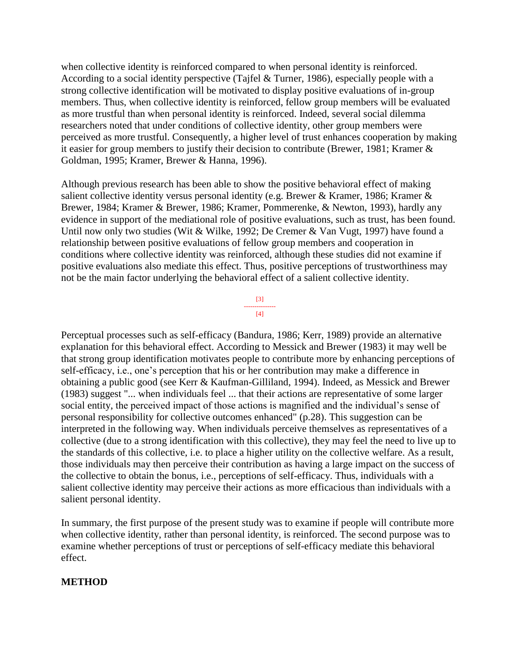when collective identity is reinforced compared to when personal identity is reinforced. According to a social identity perspective (Tajfel & Turner, 1986), especially people with a strong collective identification will be motivated to display positive evaluations of in-group members. Thus, when collective identity is reinforced, fellow group members will be evaluated as more trustful than when personal identity is reinforced. Indeed, several social dilemma researchers noted that under conditions of collective identity, other group members were perceived as more trustful. Consequently, a higher level of trust enhances cooperation by making it easier for group members to justify their decision to contribute (Brewer, 1981; Kramer & Goldman, 1995; Kramer, Brewer & Hanna, 1996).

Although previous research has been able to show the positive behavioral effect of making salient collective identity versus personal identity (e.g. Brewer & Kramer, 1986; Kramer & Brewer, 1984; Kramer & Brewer, 1986; Kramer, Pommerenke, & Newton, 1993), hardly any evidence in support of the mediational role of positive evaluations, such as trust, has been found. Until now only two studies (Wit & Wilke, 1992; De Cremer & Van Vugt, 1997) have found a relationship between positive evaluations of fellow group members and cooperation in conditions where collective identity was reinforced, although these studies did not examine if positive evaluations also mediate this effect. Thus, positive perceptions of trustworthiness may not be the main factor underlying the behavioral effect of a salient collective identity.

> [3] --------------- [4]

Perceptual processes such as self-efficacy (Bandura, 1986; Kerr, 1989) provide an alternative explanation for this behavioral effect. According to Messick and Brewer (1983) it may well be that strong group identification motivates people to contribute more by enhancing perceptions of self-efficacy, i.e., one's perception that his or her contribution may make a difference in obtaining a public good (see Kerr & Kaufman-Gilliland, 1994). Indeed, as Messick and Brewer (1983) suggest "... when individuals feel ... that their actions are representative of some larger social entity, the perceived impact of those actions is magnified and the individual's sense of personal responsibility for collective outcomes enhanced" (p.28). This suggestion can be interpreted in the following way. When individuals perceive themselves as representatives of a collective (due to a strong identification with this collective), they may feel the need to live up to the standards of this collective, i.e. to place a higher utility on the collective welfare. As a result, those individuals may then perceive their contribution as having a large impact on the success of the collective to obtain the bonus, i.e., perceptions of self-efficacy. Thus, individuals with a salient collective identity may perceive their actions as more efficacious than individuals with a salient personal identity.

In summary, the first purpose of the present study was to examine if people will contribute more when collective identity, rather than personal identity, is reinforced. The second purpose was to examine whether perceptions of trust or perceptions of self-efficacy mediate this behavioral effect.

## **METHOD**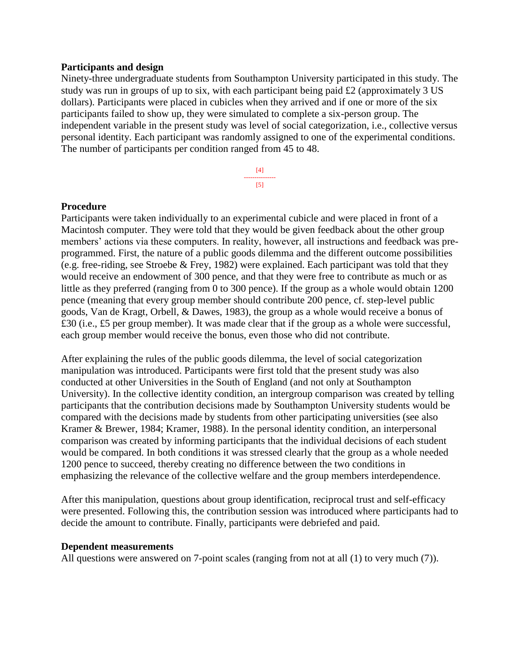#### **Participants and design**

Ninety-three undergraduate students from Southampton University participated in this study. The study was run in groups of up to six, with each participant being paid £2 (approximately 3 US dollars). Participants were placed in cubicles when they arrived and if one or more of the six participants failed to show up, they were simulated to complete a six-person group. The independent variable in the present study was level of social categorization, i.e., collective versus personal identity. Each participant was randomly assigned to one of the experimental conditions. The number of participants per condition ranged from 45 to 48.

> [4] --------------- [5]

## **Procedure**

Participants were taken individually to an experimental cubicle and were placed in front of a Macintosh computer. They were told that they would be given feedback about the other group members' actions via these computers. In reality, however, all instructions and feedback was preprogrammed. First, the nature of a public goods dilemma and the different outcome possibilities (e.g. free-riding, see Stroebe & Frey, 1982) were explained. Each participant was told that they would receive an endowment of 300 pence, and that they were free to contribute as much or as little as they preferred (ranging from 0 to 300 pence). If the group as a whole would obtain 1200 pence (meaning that every group member should contribute 200 pence, cf. step-level public goods, Van de Kragt, Orbell, & Dawes, 1983), the group as a whole would receive a bonus of £30 (i.e., £5 per group member). It was made clear that if the group as a whole were successful, each group member would receive the bonus, even those who did not contribute.

After explaining the rules of the public goods dilemma, the level of social categorization manipulation was introduced. Participants were first told that the present study was also conducted at other Universities in the South of England (and not only at Southampton University). In the collective identity condition, an intergroup comparison was created by telling participants that the contribution decisions made by Southampton University students would be compared with the decisions made by students from other participating universities (see also Kramer & Brewer, 1984; Kramer, 1988). In the personal identity condition, an interpersonal comparison was created by informing participants that the individual decisions of each student would be compared. In both conditions it was stressed clearly that the group as a whole needed 1200 pence to succeed, thereby creating no difference between the two conditions in emphasizing the relevance of the collective welfare and the group members interdependence.

After this manipulation, questions about group identification, reciprocal trust and self-efficacy were presented. Following this, the contribution session was introduced where participants had to decide the amount to contribute. Finally, participants were debriefed and paid.

#### **Dependent measurements**

All questions were answered on 7-point scales (ranging from not at all (1) to very much (7)).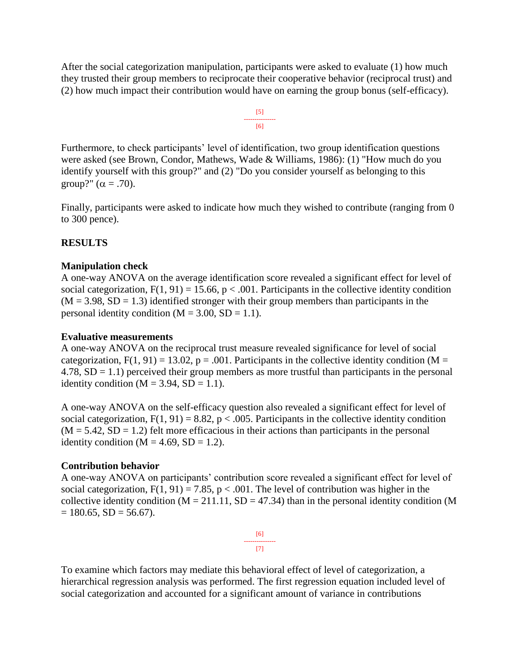After the social categorization manipulation, participants were asked to evaluate (1) how much they trusted their group members to reciprocate their cooperative behavior (reciprocal trust) and (2) how much impact their contribution would have on earning the group bonus (self-efficacy).

$$
\begin{array}{c}\n [5] \\
\hline\n [6]\n \end{array}
$$

Furthermore, to check participants' level of identification, two group identification questions were asked (see Brown, Condor, Mathews, Wade & Williams, 1986): (1) "How much do you identify yourself with this group?" and (2) "Do you consider yourself as belonging to this group?"  $(\alpha = .70)$ .

Finally, participants were asked to indicate how much they wished to contribute (ranging from 0 to 300 pence).

# **RESULTS**

## **Manipulation check**

A one-way ANOVA on the average identification score revealed a significant effect for level of social categorization,  $F(1, 91) = 15.66$ ,  $p < .001$ . Participants in the collective identity condition  $(M = 3.98, SD = 1.3)$  identified stronger with their group members than participants in the personal identity condition  $(M = 3.00, SD = 1.1)$ .

#### **Evaluative measurements**

A one-way ANOVA on the reciprocal trust measure revealed significance for level of social categorization,  $F(1, 91) = 13.02$ ,  $p = .001$ . Participants in the collective identity condition (M =  $4.78$ , SD = 1.1) perceived their group members as more trustful than participants in the personal identity condition  $(M = 3.94, SD = 1.1)$ .

A one-way ANOVA on the self-efficacy question also revealed a significant effect for level of social categorization,  $F(1, 91) = 8.82$ ,  $p < .005$ . Participants in the collective identity condition  $(M = 5.42, SD = 1.2)$  felt more efficacious in their actions than participants in the personal identity condition ( $M = 4.69$ ,  $SD = 1.2$ ).

#### **Contribution behavior**

A one-way ANOVA on participants' contribution score revealed a significant effect for level of social categorization,  $F(1, 91) = 7.85$ ,  $p < .001$ . The level of contribution was higher in the collective identity condition ( $M = 211.11$ ,  $SD = 47.34$ ) than in the personal identity condition (M  $= 180.65$ , SD  $= 56.67$ ).

> [6] --------------- [7]

To examine which factors may mediate this behavioral effect of level of categorization, a hierarchical regression analysis was performed. The first regression equation included level of social categorization and accounted for a significant amount of variance in contributions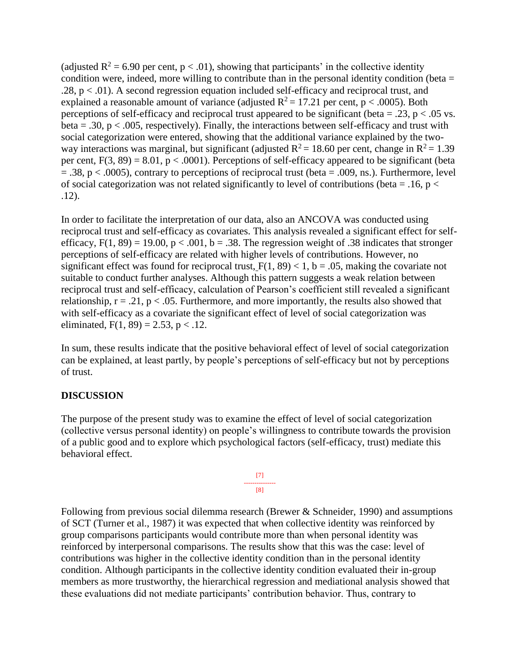(adjusted  $R^2 = 6.90$  per cent,  $p < .01$ ), showing that participants' in the collective identity condition were, indeed, more willing to contribute than in the personal identity condition (beta  $=$ .28,  $p < 0.01$ ). A second regression equation included self-efficacy and reciprocal trust, and explained a reasonable amount of variance (adjusted  $R^2 = 17.21$  per cent, p < .0005). Both perceptions of self-efficacy and reciprocal trust appeared to be significant (beta = .23,  $p < .05$  vs. beta = .30,  $p < .005$ , respectively). Finally, the interactions between self-efficacy and trust with social categorization were entered, showing that the additional variance explained by the twoway interactions was marginal, but significant (adjusted  $R^2 = 18.60$  per cent, change in  $R^2 = 1.39$ per cent,  $F(3, 89) = 8.01$ ,  $p < .0001$ ). Perceptions of self-efficacy appeared to be significant (beta  $= .38$ ,  $p < .0005$ ), contrary to perceptions of reciprocal trust (beta  $= .009$ , ns.). Furthermore, level of social categorization was not related significantly to level of contributions (beta = .16,  $p <$ .12).

In order to facilitate the interpretation of our data, also an ANCOVA was conducted using reciprocal trust and self-efficacy as covariates. This analysis revealed a significant effect for selfefficacy,  $F(1, 89) = 19.00$ ,  $p < .001$ ,  $b = .38$ . The regression weight of .38 indicates that stronger perceptions of self-efficacy are related with higher levels of contributions. However, no significant effect was found for reciprocal trust,  $F(1, 89) < 1$ ,  $b = .05$ , making the covariate not suitable to conduct further analyses. Although this pattern suggests a weak relation between reciprocal trust and self-efficacy, calculation of Pearson's coefficient still revealed a significant relationship,  $r = .21$ ,  $p < .05$ . Furthermore, and more importantly, the results also showed that with self-efficacy as a covariate the significant effect of level of social categorization was eliminated,  $F(1, 89) = 2.53$ ,  $p < .12$ .

In sum, these results indicate that the positive behavioral effect of level of social categorization can be explained, at least partly, by people's perceptions of self-efficacy but not by perceptions of trust.

# **DISCUSSION**

The purpose of the present study was to examine the effect of level of social categorization (collective versus personal identity) on people's willingness to contribute towards the provision of a public good and to explore which psychological factors (self-efficacy, trust) mediate this behavioral effect.



Following from previous social dilemma research (Brewer & Schneider, 1990) and assumptions of SCT (Turner et al., 1987) it was expected that when collective identity was reinforced by group comparisons participants would contribute more than when personal identity was reinforced by interpersonal comparisons. The results show that this was the case: level of contributions was higher in the collective identity condition than in the personal identity condition. Although participants in the collective identity condition evaluated their in-group members as more trustworthy, the hierarchical regression and mediational analysis showed that these evaluations did not mediate participants' contribution behavior. Thus, contrary to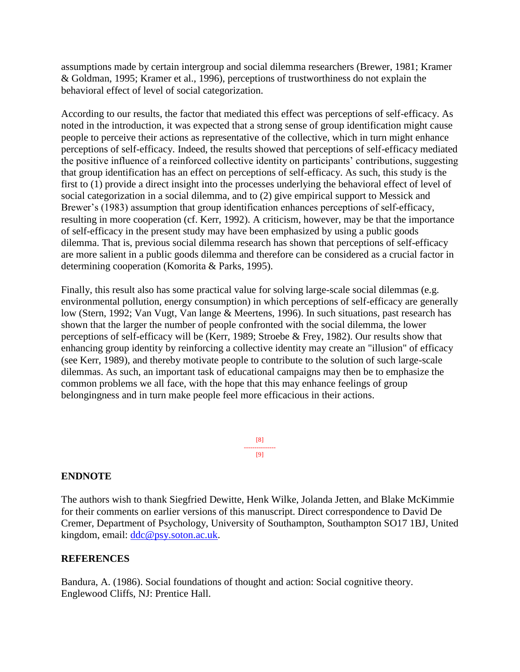assumptions made by certain intergroup and social dilemma researchers (Brewer, 1981; Kramer & Goldman, 1995; Kramer et al., 1996), perceptions of trustworthiness do not explain the behavioral effect of level of social categorization.

According to our results, the factor that mediated this effect was perceptions of self-efficacy. As noted in the introduction, it was expected that a strong sense of group identification might cause people to perceive their actions as representative of the collective, which in turn might enhance perceptions of self-efficacy. Indeed, the results showed that perceptions of self-efficacy mediated the positive influence of a reinforced collective identity on participants' contributions, suggesting that group identification has an effect on perceptions of self-efficacy. As such, this study is the first to (1) provide a direct insight into the processes underlying the behavioral effect of level of social categorization in a social dilemma, and to (2) give empirical support to Messick and Brewer's (1983) assumption that group identification enhances perceptions of self-efficacy, resulting in more cooperation (cf. Kerr, 1992). A criticism, however, may be that the importance of self-efficacy in the present study may have been emphasized by using a public goods dilemma. That is, previous social dilemma research has shown that perceptions of self-efficacy are more salient in a public goods dilemma and therefore can be considered as a crucial factor in determining cooperation (Komorita & Parks, 1995).

Finally, this result also has some practical value for solving large-scale social dilemmas (e.g. environmental pollution, energy consumption) in which perceptions of self-efficacy are generally low (Stern, 1992; Van Vugt, Van lange & Meertens, 1996). In such situations, past research has shown that the larger the number of people confronted with the social dilemma, the lower perceptions of self-efficacy will be (Kerr, 1989; Stroebe & Frey, 1982). Our results show that enhancing group identity by reinforcing a collective identity may create an "illusion" of efficacy (see Kerr, 1989), and thereby motivate people to contribute to the solution of such large-scale dilemmas. As such, an important task of educational campaigns may then be to emphasize the common problems we all face, with the hope that this may enhance feelings of group belongingness and in turn make people feel more efficacious in their actions.

> [8] --------------- [9]

# **ENDNOTE**

The authors wish to thank Siegfried Dewitte, Henk Wilke, Jolanda Jetten, and Blake McKimmie for their comments on earlier versions of this manuscript. Direct correspondence to David De Cremer, Department of Psychology, University of Southampton, Southampton SO17 1BJ, United kingdom, email: [ddc@psy.soton.ac.uk.](mailto:ddc@psy.soton.ac.uk)

## **REFERENCES**

Bandura, A. (1986). Social foundations of thought and action: Social cognitive theory. Englewood Cliffs, NJ: Prentice Hall.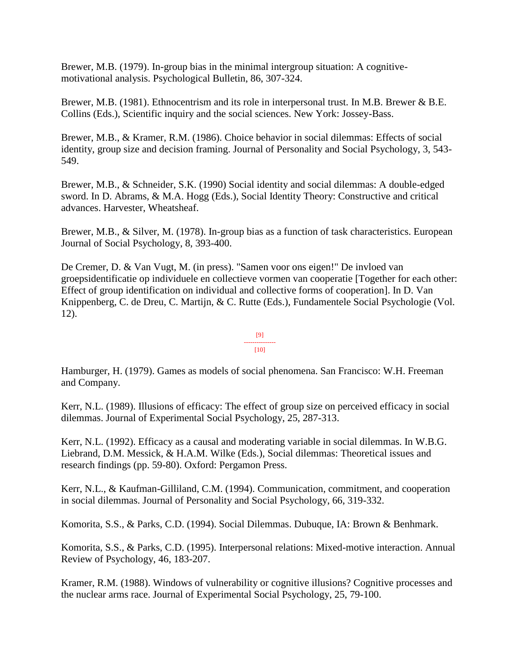Brewer, M.B. (1979). In-group bias in the minimal intergroup situation: A cognitivemotivational analysis. Psychological Bulletin, 86, 307-324.

Brewer, M.B. (1981). Ethnocentrism and its role in interpersonal trust. In M.B. Brewer & B.E. Collins (Eds.), Scientific inquiry and the social sciences. New York: Jossey-Bass.

Brewer, M.B., & Kramer, R.M. (1986). Choice behavior in social dilemmas: Effects of social identity, group size and decision framing. Journal of Personality and Social Psychology, 3, 543- 549.

Brewer, M.B., & Schneider, S.K. (1990) Social identity and social dilemmas: A double-edged sword. In D. Abrams, & M.A. Hogg (Eds.), Social Identity Theory: Constructive and critical advances. Harvester, Wheatsheaf.

Brewer, M.B., & Silver, M. (1978). In-group bias as a function of task characteristics. European Journal of Social Psychology, 8, 393-400.

De Cremer, D. & Van Vugt, M. (in press). "Samen voor ons eigen!" De invloed van groepsidentificatie op individuele en collectieve vormen van cooperatie [Together for each other: Effect of group identification on individual and collective forms of cooperation]. In D. Van Knippenberg, C. de Dreu, C. Martijn, & C. Rutte (Eds.), Fundamentele Social Psychologie (Vol. 12).

> [9] --------------- [10]

Hamburger, H. (1979). Games as models of social phenomena. San Francisco: W.H. Freeman and Company.

Kerr, N.L. (1989). Illusions of efficacy: The effect of group size on perceived efficacy in social dilemmas. Journal of Experimental Social Psychology, 25, 287-313.

Kerr, N.L. (1992). Efficacy as a causal and moderating variable in social dilemmas. In W.B.G. Liebrand, D.M. Messick, & H.A.M. Wilke (Eds.), Social dilemmas: Theoretical issues and research findings (pp. 59-80). Oxford: Pergamon Press.

Kerr, N.L., & Kaufman-Gilliland, C.M. (1994). Communication, commitment, and cooperation in social dilemmas. Journal of Personality and Social Psychology, 66, 319-332.

Komorita, S.S., & Parks, C.D. (1994). Social Dilemmas. Dubuque, IA: Brown & Benhmark.

Komorita, S.S., & Parks, C.D. (1995). Interpersonal relations: Mixed-motive interaction. Annual Review of Psychology, 46, 183-207.

Kramer, R.M. (1988). Windows of vulnerability or cognitive illusions? Cognitive processes and the nuclear arms race. Journal of Experimental Social Psychology, 25, 79-100.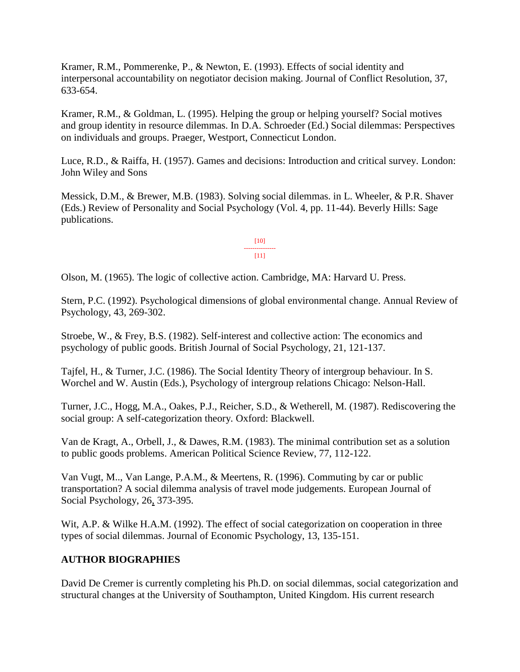Kramer, R.M., Pommerenke, P., & Newton, E. (1993). Effects of social identity and interpersonal accountability on negotiator decision making. Journal of Conflict Resolution, 37, 633-654.

Kramer, R.M., & Goldman, L. (1995). Helping the group or helping yourself? Social motives and group identity in resource dilemmas. In D.A. Schroeder (Ed.) Social dilemmas: Perspectives on individuals and groups. Praeger, Westport, Connecticut London.

Luce, R.D., & Raiffa, H. (1957). Games and decisions: Introduction and critical survey*.* London: John Wiley and Sons

Messick, D.M., & Brewer, M.B. (1983). Solving social dilemmas. in L. Wheeler, & P.R. Shaver (Eds.) Review of Personality and Social Psychology (Vol. 4, pp. 11-44). Beverly Hills: Sage publications.

> [10] --------------- [11]

Olson, M. (1965). The logic of collective action. Cambridge, MA: Harvard U. Press.

Stern, P.C. (1992). Psychological dimensions of global environmental change. Annual Review of Psychology, 43, 269-302.

Stroebe, W., & Frey, B.S. (1982). Self-interest and collective action: The economics and psychology of public goods. British Journal of Social Psychology, 21, 121-137.

Tajfel, H., & Turner, J.C. (1986). The Social Identity Theory of intergroup behaviour. In S. Worchel and W. Austin (Eds.), Psychology of intergroup relations Chicago: Nelson-Hall.

Turner, J.C., Hogg, M.A., Oakes, P.J., Reicher, S.D., & Wetherell, M. (1987). Rediscovering the social group: A self-categorization theory*.* Oxford: Blackwell.

Van de Kragt, A., Orbell, J., & Dawes, R.M. (1983). The minimal contribution set as a solution to public goods problems. American Political Science Review, 77, 112-122.

Van Vugt, M.., Van Lange, P.A.M., & Meertens, R. (1996). Commuting by car or public transportation? A social dilemma analysis of travel mode judgements. European Journal of Social Psychology, 26, 373-395.

Wit, A.P. & Wilke H.A.M. (1992). The effect of social categorization on cooperation in three types of social dilemmas. Journal of Economic Psychology, 13, 135-151.

# **AUTHOR BIOGRAPHIES**

David De Cremer is currently completing his Ph.D. on social dilemmas, social categorization and structural changes at the University of Southampton, United Kingdom. His current research